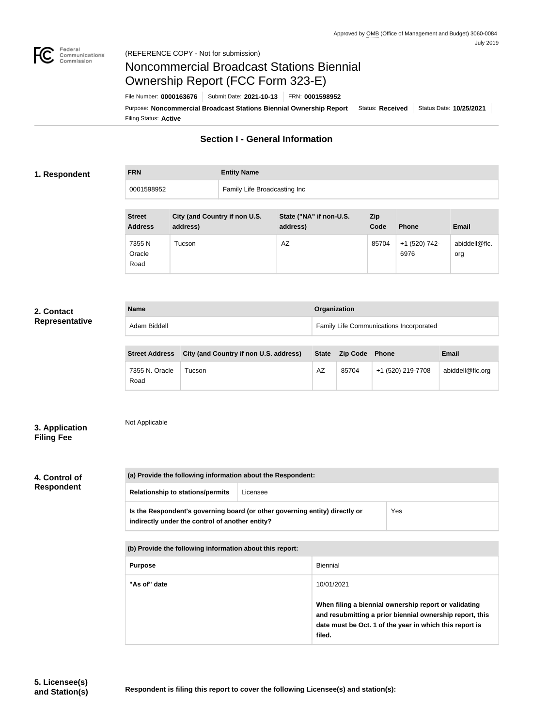

# Noncommercial Broadcast Stations Biennial Ownership Report (FCC Form 323-E)

Filing Status: **Active** Purpose: Noncommercial Broadcast Stations Biennial Ownership Report | Status: Received | Status Date: 10/25/2021 File Number: **0000163676** Submit Date: **2021-10-13** FRN: **0001598952**

# **Section I - General Information**

## **1. Respondent**

| <b>FRN</b> | <b>Entity Name</b>           |
|------------|------------------------------|
| 0001598952 | Family Life Broadcasting Inc |
|            |                              |

| <b>Street</b><br><b>Address</b> | City (and Country if non U.S.<br>address) | State ("NA" if non-U.S.<br>address) | Zip<br>Code | <b>Phone</b>          | <b>Email</b>         |
|---------------------------------|-------------------------------------------|-------------------------------------|-------------|-----------------------|----------------------|
| 7355 N<br>Oracle<br>Road        | Tucson                                    | AZ                                  | 85704       | +1 (520) 742-<br>6976 | abiddell@flc.<br>org |

## **2. Contact Representative**

| <b>Name</b>                                                                                                                                | Organization                            |
|--------------------------------------------------------------------------------------------------------------------------------------------|-----------------------------------------|
| Adam Biddell                                                                                                                               | Family Life Communications Incorporated |
|                                                                                                                                            |                                         |
| $\mathbf{A}$ and $\mathbf{A}$ is the same $\mathbf{A}$ is the same of $\mathbf{A}$ is the same of $\mathbf{A}$ is the same of $\mathbf{A}$ |                                         |

|                        | Street Address City (and Country if non U.S. address) | <b>State</b> | Zip Code Phone |                   | <b>Email</b>     |
|------------------------|-------------------------------------------------------|--------------|----------------|-------------------|------------------|
| 7355 N. Oracle<br>Road | Tucson                                                | AZ           | 85704          | +1 (520) 219-7708 | abiddell@flc.org |

# **3. Application Filing Fee**

Not Applicable

# **4. Control of Respondent**

| (a) Provide the following information about the Respondent: |                                                                             |     |  |  |
|-------------------------------------------------------------|-----------------------------------------------------------------------------|-----|--|--|
| Licensee<br><b>Relationship to stations/permits</b>         |                                                                             |     |  |  |
| indirectly under the control of another entity?             | Is the Respondent's governing board (or other governing entity) directly or | Yes |  |  |
| (b) Provide the following information about this report:    |                                                                             |     |  |  |
| <b>Biennial</b><br><b>Purpose</b>                           |                                                                             |     |  |  |
|                                                             |                                                                             |     |  |  |

**When filing a biennial ownership report or validating and resubmitting a prior biennial ownership report, this date must be Oct. 1 of the year in which this report is filed.**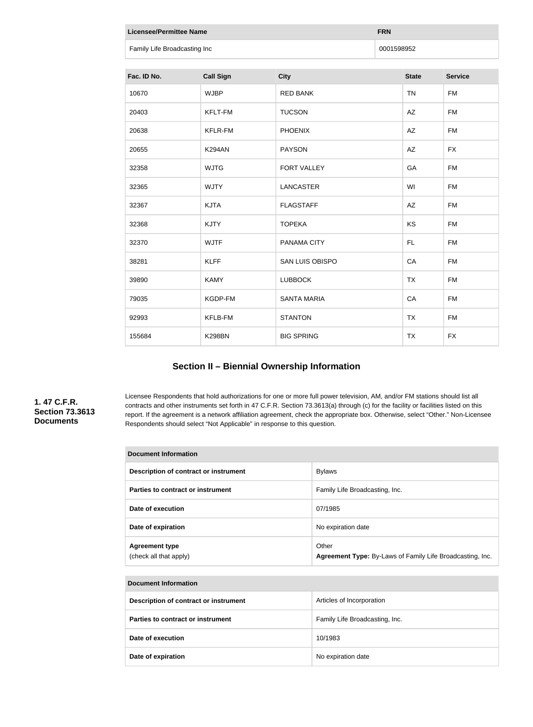| <b>Licensee/Permittee Name</b><br><b>FRN</b> |                  |                    |            |              |                |
|----------------------------------------------|------------------|--------------------|------------|--------------|----------------|
| Family Life Broadcasting Inc                 |                  |                    | 0001598952 |              |                |
|                                              |                  |                    |            |              |                |
| Fac. ID No.                                  | <b>Call Sign</b> | <b>City</b>        |            | <b>State</b> | <b>Service</b> |
| 10670                                        | <b>WJBP</b>      | <b>RED BANK</b>    |            | <b>TN</b>    | <b>FM</b>      |
| 20403                                        | KFLT-FM          | <b>TUCSON</b>      |            | AZ           | <b>FM</b>      |
| 20638                                        | <b>KFLR-FM</b>   | <b>PHOENIX</b>     |            | AZ           | <b>FM</b>      |
| 20655                                        | <b>K294AN</b>    | <b>PAYSON</b>      |            | AZ           | <b>FX</b>      |
| 32358                                        | <b>WJTG</b>      | FORT VALLEY        |            | GA           | <b>FM</b>      |
| 32365                                        | <b>WJTY</b>      | <b>LANCASTER</b>   |            | WI           | <b>FM</b>      |
| 32367                                        | <b>KJTA</b>      | <b>FLAGSTAFF</b>   |            | AZ           | <b>FM</b>      |
| 32368                                        | <b>KJTY</b>      | <b>TOPEKA</b>      |            | KS           | <b>FM</b>      |
| 32370                                        | <b>WJTF</b>      | PANAMA CITY        |            | FL.          | <b>FM</b>      |
| 38281                                        | <b>KLFF</b>      | SAN LUIS OBISPO    |            | CA           | <b>FM</b>      |
| 39890                                        | <b>KAMY</b>      | <b>LUBBOCK</b>     |            | <b>TX</b>    | <b>FM</b>      |
| 79035                                        | KGDP-FM          | <b>SANTA MARIA</b> |            | CA           | <b>FM</b>      |
| 92993                                        | KFLB-FM          | <b>STANTON</b>     |            | <b>TX</b>    | <b>FM</b>      |
| 155684                                       | <b>K298BN</b>    | <b>BIG SPRING</b>  |            | <b>TX</b>    | <b>FX</b>      |

# **Section II – Biennial Ownership Information**

# **1. 47 C.F.R. Section 73.3613 Documents**

Licensee Respondents that hold authorizations for one or more full power television, AM, and/or FM stations should list all contracts and other instruments set forth in 47 C.F.R. Section 73.3613(a) through (c) for the facility or facilities listed on this report. If the agreement is a network affiliation agreement, check the appropriate box. Otherwise, select "Other." Non-Licensee Respondents should select "Not Applicable" in response to this question.

| <b>Document Information</b>                     |                                                                    |  |
|-------------------------------------------------|--------------------------------------------------------------------|--|
| Description of contract or instrument           | <b>Bylaws</b>                                                      |  |
| Parties to contract or instrument               | Family Life Broadcasting, Inc.                                     |  |
| Date of execution                               | 07/1985                                                            |  |
| Date of expiration                              | No expiration date                                                 |  |
| <b>Agreement type</b><br>(check all that apply) | Other<br>Agreement Type: By-Laws of Family Life Broadcasting, Inc. |  |

| <b>Document Information</b>           |                                |
|---------------------------------------|--------------------------------|
| Description of contract or instrument | Articles of Incorporation      |
| Parties to contract or instrument     | Family Life Broadcasting, Inc. |
| Date of execution                     | 10/1983                        |
| Date of expiration                    | No expiration date             |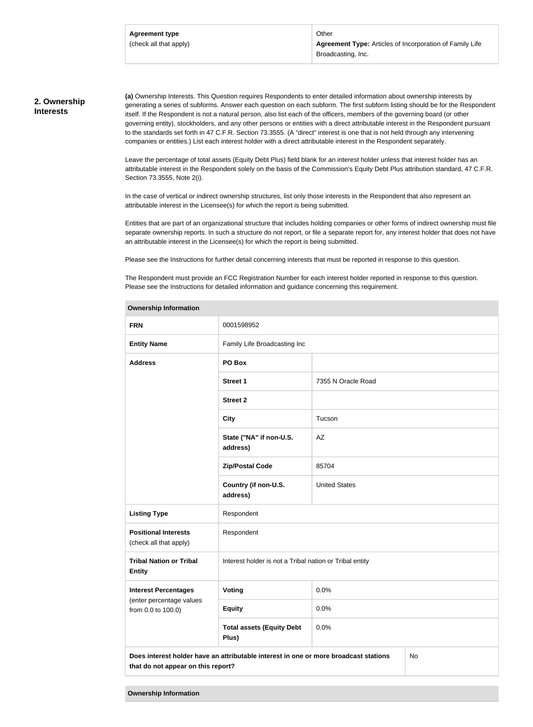Other **Agreement Type:** Articles of Incorporation of Family Life Broadcasting, Inc.

#### **2. Ownership Interests**

**(a)** Ownership Interests. This Question requires Respondents to enter detailed information about ownership interests by generating a series of subforms. Answer each question on each subform. The first subform listing should be for the Respondent itself. If the Respondent is not a natural person, also list each of the officers, members of the governing board (or other governing entity), stockholders, and any other persons or entities with a direct attributable interest in the Respondent pursuant to the standards set forth in 47 C.F.R. Section 73.3555. (A "direct" interest is one that is not held through any intervening companies or entities.) List each interest holder with a direct attributable interest in the Respondent separately.

Leave the percentage of total assets (Equity Debt Plus) field blank for an interest holder unless that interest holder has an attributable interest in the Respondent solely on the basis of the Commission's Equity Debt Plus attribution standard, 47 C.F.R. Section 73.3555, Note 2(i).

In the case of vertical or indirect ownership structures, list only those interests in the Respondent that also represent an attributable interest in the Licensee(s) for which the report is being submitted.

Entities that are part of an organizational structure that includes holding companies or other forms of indirect ownership must file separate ownership reports. In such a structure do not report, or file a separate report for, any interest holder that does not have an attributable interest in the Licensee(s) for which the report is being submitted.

Please see the Instructions for further detail concerning interests that must be reported in response to this question.

The Respondent must provide an FCC Registration Number for each interest holder reported in response to this question. Please see the Instructions for detailed information and guidance concerning this requirement.

| ווטוומונוטווווטוווונגוסוד                                                                                                        |                                                         |                      |  |
|----------------------------------------------------------------------------------------------------------------------------------|---------------------------------------------------------|----------------------|--|
| <b>FRN</b>                                                                                                                       | 0001598952                                              |                      |  |
| <b>Entity Name</b>                                                                                                               | Family Life Broadcasting Inc                            |                      |  |
| <b>Address</b><br>PO Box                                                                                                         |                                                         |                      |  |
|                                                                                                                                  | Street 1                                                | 7355 N Oracle Road   |  |
|                                                                                                                                  | <b>Street 2</b>                                         |                      |  |
|                                                                                                                                  | <b>City</b>                                             | Tucson               |  |
|                                                                                                                                  | State ("NA" if non-U.S.<br>address)                     | AZ                   |  |
|                                                                                                                                  | <b>Zip/Postal Code</b>                                  | 85704                |  |
|                                                                                                                                  | Country (if non-U.S.<br>address)                        | <b>United States</b> |  |
| <b>Listing Type</b>                                                                                                              | Respondent                                              |                      |  |
| <b>Positional Interests</b><br>(check all that apply)                                                                            | Respondent                                              |                      |  |
| <b>Tribal Nation or Tribal</b><br><b>Entity</b>                                                                                  | Interest holder is not a Tribal nation or Tribal entity |                      |  |
| <b>Interest Percentages</b>                                                                                                      | Voting                                                  | 0.0%                 |  |
| (enter percentage values<br>from 0.0 to 100.0)                                                                                   | <b>Equity</b>                                           | 0.0%                 |  |
|                                                                                                                                  | <b>Total assets (Equity Debt</b><br>Plus)               | 0.0%                 |  |
| Does interest holder have an attributable interest in one or more broadcast stations<br>No<br>that do not appear on this report? |                                                         |                      |  |

#### **Ownership Information**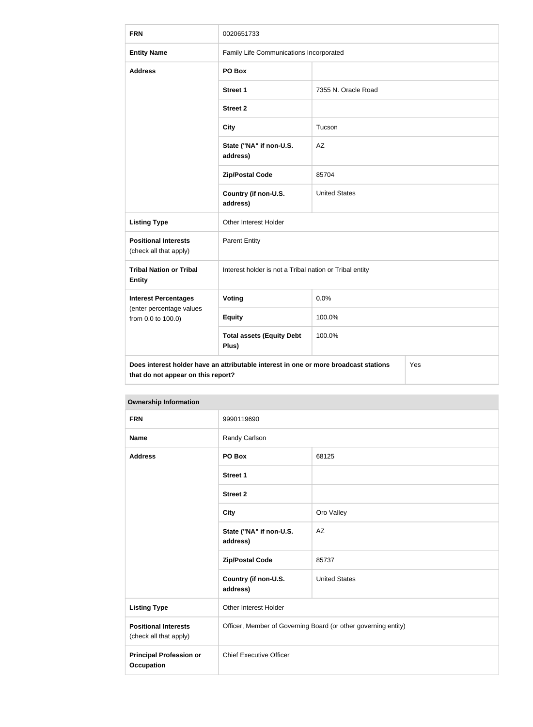| <b>FRN</b>                                                                                                                        | 0020651733                                              |                      |  |
|-----------------------------------------------------------------------------------------------------------------------------------|---------------------------------------------------------|----------------------|--|
| <b>Entity Name</b>                                                                                                                | Family Life Communications Incorporated                 |                      |  |
| <b>Address</b>                                                                                                                    | PO Box                                                  |                      |  |
|                                                                                                                                   | <b>Street 1</b>                                         | 7355 N. Oracle Road  |  |
|                                                                                                                                   | <b>Street 2</b>                                         |                      |  |
|                                                                                                                                   | <b>City</b>                                             | Tucson               |  |
|                                                                                                                                   | State ("NA" if non-U.S.<br>address)                     | AZ                   |  |
|                                                                                                                                   | <b>Zip/Postal Code</b>                                  | 85704                |  |
|                                                                                                                                   | Country (if non-U.S.<br>address)                        | <b>United States</b> |  |
| <b>Listing Type</b>                                                                                                               | Other Interest Holder                                   |                      |  |
| <b>Positional Interests</b><br>(check all that apply)                                                                             | <b>Parent Entity</b>                                    |                      |  |
| <b>Tribal Nation or Tribal</b><br><b>Entity</b>                                                                                   | Interest holder is not a Tribal nation or Tribal entity |                      |  |
| <b>Interest Percentages</b>                                                                                                       | <b>Voting</b>                                           | 0.0%                 |  |
| (enter percentage values<br>from 0.0 to 100.0)                                                                                    | <b>Equity</b>                                           | 100.0%               |  |
|                                                                                                                                   | <b>Total assets (Equity Debt</b><br>Plus)               | 100.0%               |  |
| Does interest holder have an attributable interest in one or more broadcast stations<br>Yes<br>that do not appear on this report? |                                                         |                      |  |

| <b>UWIIGI SHIP IHIUHIIIAUUH</b>                       |                                                                |                      |
|-------------------------------------------------------|----------------------------------------------------------------|----------------------|
| <b>FRN</b>                                            | 9990119690                                                     |                      |
| <b>Name</b>                                           | Randy Carlson                                                  |                      |
| <b>Address</b>                                        | PO Box                                                         | 68125                |
|                                                       | <b>Street 1</b>                                                |                      |
|                                                       | <b>Street 2</b>                                                |                      |
|                                                       | <b>City</b>                                                    | Oro Valley           |
|                                                       | State ("NA" if non-U.S.<br>address)                            | AZ                   |
|                                                       | <b>Zip/Postal Code</b>                                         | 85737                |
|                                                       | Country (if non-U.S.<br>address)                               | <b>United States</b> |
| <b>Listing Type</b>                                   | Other Interest Holder                                          |                      |
| <b>Positional Interests</b><br>(check all that apply) | Officer, Member of Governing Board (or other governing entity) |                      |
| <b>Principal Profession or</b><br><b>Occupation</b>   | <b>Chief Executive Officer</b>                                 |                      |

# **Ownership Information**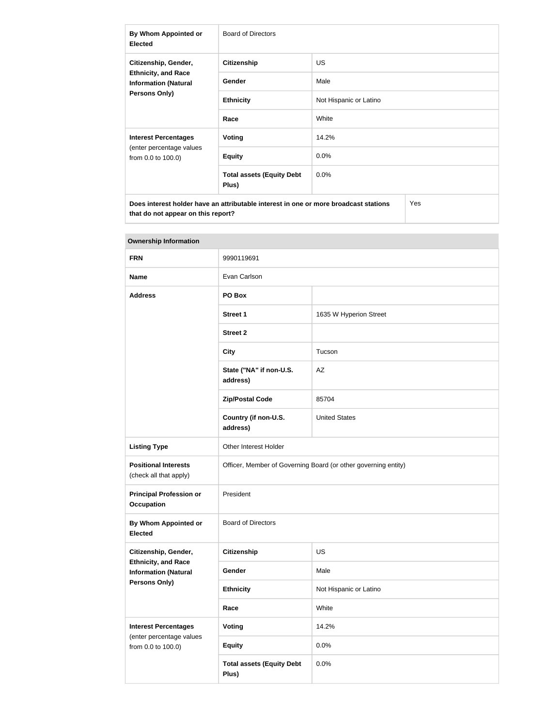| By Whom Appointed or<br><b>Elected</b>                                                      | Board of Directors                        |                        |  |
|---------------------------------------------------------------------------------------------|-------------------------------------------|------------------------|--|
| Citizenship, Gender,                                                                        | <b>Citizenship</b>                        | US.                    |  |
| <b>Ethnicity, and Race</b><br><b>Information (Natural</b>                                   | Gender                                    | Male                   |  |
| Persons Only)                                                                               | <b>Ethnicity</b>                          | Not Hispanic or Latino |  |
|                                                                                             | Race                                      | White                  |  |
| <b>Interest Percentages</b>                                                                 | Voting                                    | 14.2%                  |  |
| (enter percentage values<br>from 0.0 to 100.0)                                              | <b>Equity</b>                             | $0.0\%$                |  |
|                                                                                             | <b>Total assets (Equity Debt</b><br>Plus) | 0.0%                   |  |
| Does interest holder have an attributable interest in one or more broadcast stations<br>Yes |                                           |                        |  |

| <b>Ownership Information</b>                              |                                                                |                        |  |
|-----------------------------------------------------------|----------------------------------------------------------------|------------------------|--|
| <b>FRN</b>                                                | 9990119691                                                     |                        |  |
| <b>Name</b>                                               | Evan Carlson                                                   |                        |  |
| <b>Address</b>                                            | PO Box                                                         |                        |  |
|                                                           | <b>Street 1</b>                                                | 1635 W Hyperion Street |  |
|                                                           | <b>Street 2</b>                                                |                        |  |
|                                                           | <b>City</b>                                                    | Tucson                 |  |
|                                                           | State ("NA" if non-U.S.<br>address)                            | AZ                     |  |
|                                                           | <b>Zip/Postal Code</b>                                         | 85704                  |  |
|                                                           | Country (if non-U.S.<br>address)                               | <b>United States</b>   |  |
| <b>Listing Type</b>                                       | Other Interest Holder                                          |                        |  |
| <b>Positional Interests</b><br>(check all that apply)     | Officer, Member of Governing Board (or other governing entity) |                        |  |
| <b>Principal Profession or</b><br><b>Occupation</b>       | President                                                      |                        |  |
| <b>By Whom Appointed or</b><br><b>Elected</b>             | <b>Board of Directors</b>                                      |                        |  |
| Citizenship, Gender,                                      | <b>Citizenship</b>                                             | <b>US</b>              |  |
| <b>Ethnicity, and Race</b><br><b>Information (Natural</b> | Gender                                                         | Male                   |  |
| <b>Persons Only)</b>                                      | <b>Ethnicity</b>                                               | Not Hispanic or Latino |  |
|                                                           | Race                                                           | White                  |  |
| <b>Interest Percentages</b><br>(enter percentage values   | Voting                                                         | 14.2%                  |  |
| from 0.0 to 100.0)                                        | <b>Equity</b>                                                  | 0.0%                   |  |
|                                                           | <b>Total assets (Equity Debt</b><br>Plus)                      | 0.0%                   |  |

**that do not appear on this report?**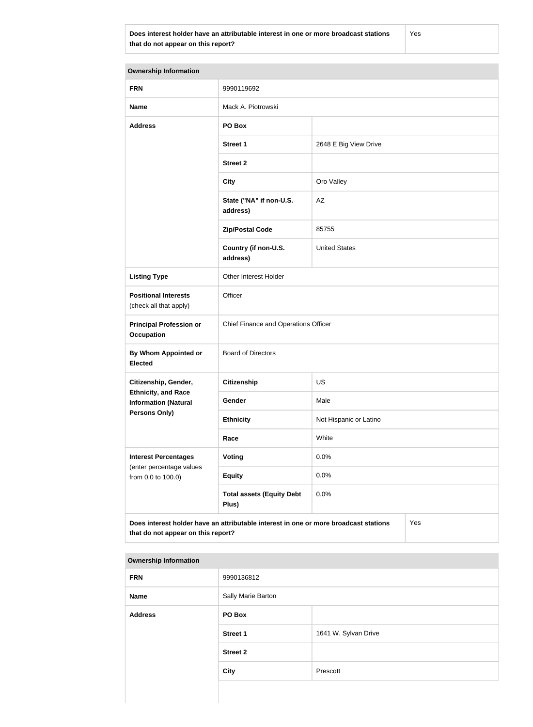**Does interest holder have an attributable interest in one or more broadcast stations that do not appear on this report?**

Yes

**Ownership Information FRN** 9990119692 **Name** Mack A. Piotrowski **Address PO Box Street 1** 2648 E Big View Drive **Street 2 City City Oro Valley State ("NA" if non-U.S. address)** AZ **Zip/Postal Code** 85755 **Country (if non-U.S. address)** United States **Listing Type Cina Communist Communist Property** Other Interest Holder **Positional Interests** (check all that apply) **Officer Principal Profession or Occupation** Chief Finance and Operations Officer **By Whom Appointed or Elected** Board of Directors **Citizenship, Gender, Ethnicity, and Race Information (Natural Persons Only) Citizenship** US Gender Male **Ethnicity** Not Hispanic or Latino **Race** White **Interest Percentages** (enter percentage values from 0.0 to 100.0) **Voting** 0.0% **Equity** 0.0% **Total assets (Equity Debt Plus)** 0.0% **Does interest holder have an attributable interest in one or more broadcast stations that do not appear on this report?** Yes

#### **Ownership Information**

| <b>FRN</b>     | 9990136812         |                      |
|----------------|--------------------|----------------------|
| Name           | Sally Marie Barton |                      |
| <b>Address</b> | PO Box             |                      |
|                | <b>Street 1</b>    | 1641 W. Sylvan Drive |
|                | <b>Street 2</b>    |                      |
|                | <b>City</b>        | Prescott             |
|                |                    |                      |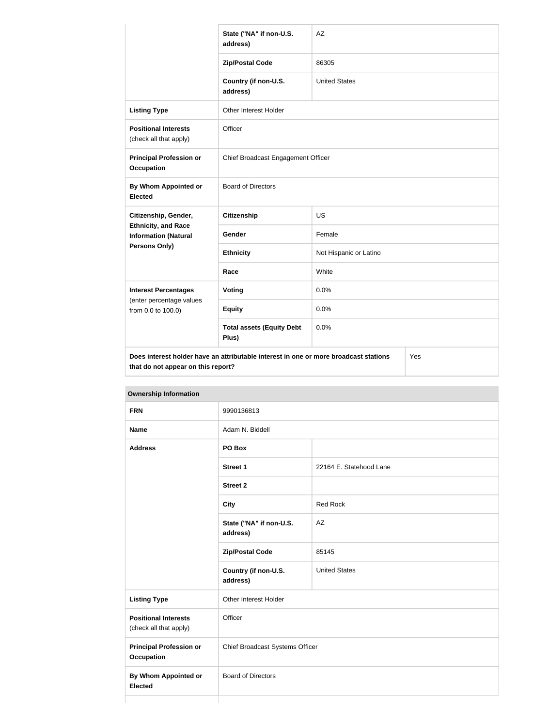|                                                           | State ("NA" if non-U.S.<br>address)                                                  | AZ                     |  |
|-----------------------------------------------------------|--------------------------------------------------------------------------------------|------------------------|--|
|                                                           | <b>Zip/Postal Code</b>                                                               | 86305                  |  |
|                                                           | Country (if non-U.S.<br>address)                                                     | <b>United States</b>   |  |
| <b>Listing Type</b>                                       | Other Interest Holder                                                                |                        |  |
| <b>Positional Interests</b><br>(check all that apply)     | Officer                                                                              |                        |  |
| <b>Principal Profession or</b><br><b>Occupation</b>       | Chief Broadcast Engagement Officer                                                   |                        |  |
| By Whom Appointed or<br><b>Elected</b>                    | <b>Board of Directors</b>                                                            |                        |  |
| Citizenship, Gender,                                      | <b>Citizenship</b>                                                                   | <b>US</b>              |  |
| <b>Ethnicity, and Race</b><br><b>Information (Natural</b> | <b>Gender</b>                                                                        | Female                 |  |
| Persons Only)                                             | <b>Ethnicity</b>                                                                     | Not Hispanic or Latino |  |
|                                                           | Race                                                                                 | White                  |  |
| <b>Interest Percentages</b>                               | Voting                                                                               | 0.0%                   |  |
| (enter percentage values<br>from 0.0 to 100.0)            | <b>Equity</b>                                                                        | 0.0%                   |  |
|                                                           | <b>Total assets (Equity Debt</b><br>Plus)                                            | 0.0%                   |  |
| that do not appear on this report?                        | Does interest holder have an attributable interest in one or more broadcast stations | Yes                    |  |

| <b>Ownership Information</b>                          |                                     |                         |  |
|-------------------------------------------------------|-------------------------------------|-------------------------|--|
| <b>FRN</b>                                            | 9990136813                          |                         |  |
| <b>Name</b>                                           | Adam N. Biddell                     |                         |  |
| <b>Address</b>                                        | PO Box                              |                         |  |
|                                                       | Street 1                            | 22164 E. Statehood Lane |  |
|                                                       | <b>Street 2</b>                     |                         |  |
|                                                       | <b>City</b>                         | <b>Red Rock</b>         |  |
|                                                       | State ("NA" if non-U.S.<br>address) | AZ                      |  |
|                                                       | <b>Zip/Postal Code</b>              | 85145                   |  |
|                                                       | Country (if non-U.S.<br>address)    | <b>United States</b>    |  |
| <b>Listing Type</b>                                   | <b>Other Interest Holder</b>        |                         |  |
| <b>Positional Interests</b><br>(check all that apply) | Officer                             |                         |  |
| <b>Principal Profession or</b><br><b>Occupation</b>   | Chief Broadcast Systems Officer     |                         |  |
| <b>By Whom Appointed or</b><br><b>Elected</b>         | <b>Board of Directors</b>           |                         |  |

Г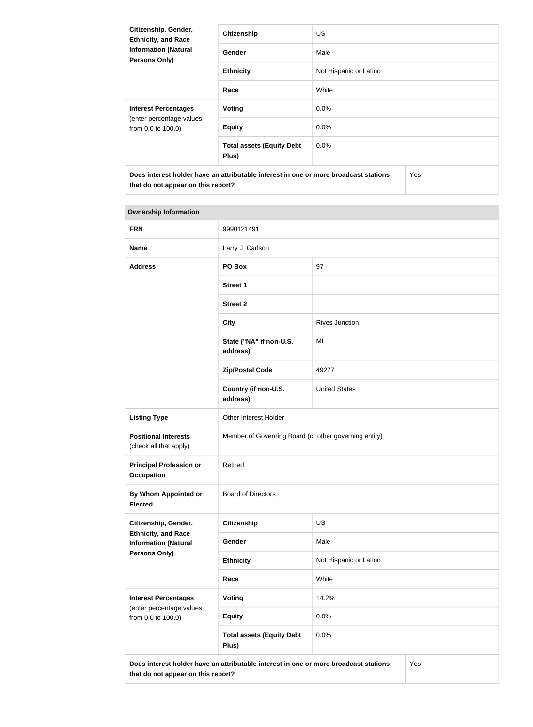| Citizenship, Gender,<br><b>Ethnicity, and Race</b><br><b>Information (Natural</b><br><b>Persons Only)</b> | <b>Citizenship</b>                        | <b>US</b>              |            |  |
|-----------------------------------------------------------------------------------------------------------|-------------------------------------------|------------------------|------------|--|
|                                                                                                           | Gender                                    | Male                   |            |  |
|                                                                                                           | <b>Ethnicity</b>                          | Not Hispanic or Latino |            |  |
|                                                                                                           | Race                                      | White                  |            |  |
| <b>Interest Percentages</b><br>(enter percentage values<br>from 0.0 to 100.0)                             | <b>Voting</b>                             | $0.0\%$                |            |  |
|                                                                                                           | <b>Equity</b>                             | 0.0%                   |            |  |
|                                                                                                           | <b>Total assets (Equity Debt</b><br>Plus) | $0.0\%$                |            |  |
| Does interest holder have an attributable interest in one or more broadcast stations                      |                                           |                        | <b>Yes</b> |  |

# **Ownership Information**

**that do not appear on this report?**

| <b>FRN</b>                                                | 9990121491                                                                           |                        |     |
|-----------------------------------------------------------|--------------------------------------------------------------------------------------|------------------------|-----|
| <b>Name</b>                                               | Larry J. Carlson                                                                     |                        |     |
| <b>Address</b>                                            | PO Box                                                                               | 97                     |     |
|                                                           | <b>Street 1</b>                                                                      |                        |     |
|                                                           | <b>Street 2</b>                                                                      |                        |     |
|                                                           | <b>City</b>                                                                          | <b>Rives Junction</b>  |     |
|                                                           | State ("NA" if non-U.S.<br>address)                                                  | MI                     |     |
|                                                           | <b>Zip/Postal Code</b>                                                               | 49277                  |     |
|                                                           | Country (if non-U.S.<br>address)                                                     | <b>United States</b>   |     |
| <b>Listing Type</b>                                       | Other Interest Holder                                                                |                        |     |
| <b>Positional Interests</b><br>(check all that apply)     | Member of Governing Board (or other governing entity)                                |                        |     |
| <b>Principal Profession or</b><br><b>Occupation</b>       | Retired                                                                              |                        |     |
| By Whom Appointed or<br><b>Elected</b>                    | <b>Board of Directors</b>                                                            |                        |     |
| Citizenship, Gender,                                      | Citizenship                                                                          | US                     |     |
| <b>Ethnicity, and Race</b><br><b>Information (Natural</b> | <b>Gender</b>                                                                        | Male                   |     |
| <b>Persons Only)</b>                                      | <b>Ethnicity</b>                                                                     | Not Hispanic or Latino |     |
|                                                           | Race                                                                                 | White                  |     |
| <b>Interest Percentages</b>                               | <b>Voting</b>                                                                        | 14.2%                  |     |
| (enter percentage values<br>from 0.0 to 100.0)            | <b>Equity</b>                                                                        | 0.0%                   |     |
|                                                           | <b>Total assets (Equity Debt</b><br>Plus)                                            | 0.0%                   |     |
| that do not appear on this report?                        | Does interest holder have an attributable interest in one or more broadcast stations |                        | Yes |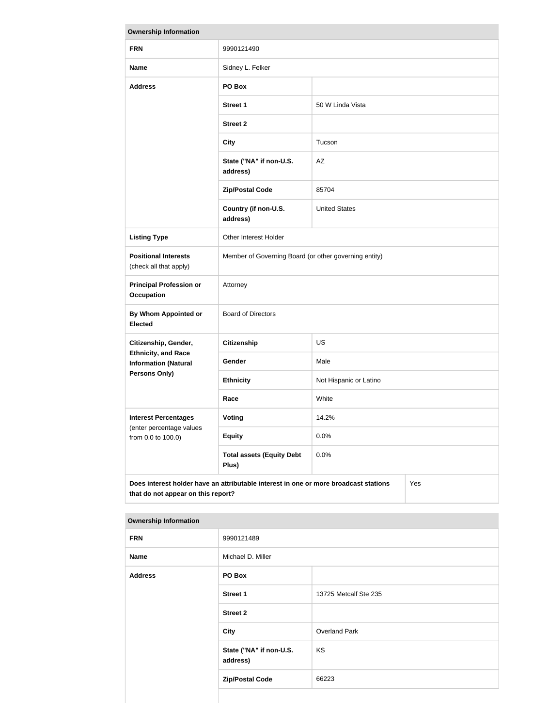| <b>Ownership Information</b>                                                                                                      |                                                       |                        |  |
|-----------------------------------------------------------------------------------------------------------------------------------|-------------------------------------------------------|------------------------|--|
| <b>FRN</b>                                                                                                                        | 9990121490                                            |                        |  |
| <b>Name</b>                                                                                                                       | Sidney L. Felker                                      |                        |  |
| <b>Address</b>                                                                                                                    | PO Box                                                |                        |  |
|                                                                                                                                   | <b>Street 1</b>                                       | 50 W Linda Vista       |  |
|                                                                                                                                   | <b>Street 2</b>                                       |                        |  |
|                                                                                                                                   | <b>City</b>                                           | Tucson                 |  |
|                                                                                                                                   | State ("NA" if non-U.S.<br>address)                   | AZ                     |  |
|                                                                                                                                   | <b>Zip/Postal Code</b>                                | 85704                  |  |
|                                                                                                                                   | Country (if non-U.S.<br>address)                      | <b>United States</b>   |  |
| <b>Listing Type</b>                                                                                                               | Other Interest Holder                                 |                        |  |
| <b>Positional Interests</b><br>(check all that apply)                                                                             | Member of Governing Board (or other governing entity) |                        |  |
| <b>Principal Profession or</b><br><b>Occupation</b>                                                                               | Attorney                                              |                        |  |
| By Whom Appointed or<br><b>Elected</b>                                                                                            | <b>Board of Directors</b>                             |                        |  |
| Citizenship, Gender,                                                                                                              | <b>Citizenship</b>                                    | <b>US</b>              |  |
| <b>Ethnicity, and Race</b><br><b>Information (Natural</b>                                                                         | Gender                                                | Male                   |  |
| <b>Persons Only)</b>                                                                                                              | <b>Ethnicity</b>                                      | Not Hispanic or Latino |  |
|                                                                                                                                   | Race                                                  | White                  |  |
| <b>Interest Percentages</b><br>(enter percentage values                                                                           | <b>Voting</b>                                         | 14.2%                  |  |
| from 0.0 to 100.0)                                                                                                                | <b>Equity</b>                                         | 0.0%                   |  |
|                                                                                                                                   | <b>Total assets (Equity Debt</b><br>Plus)             | 0.0%                   |  |
| Does interest holder have an attributable interest in one or more broadcast stations<br>Yes<br>that do not appear on this report? |                                                       |                        |  |

| <b>FRN</b>     | 9990121489                          |                       |  |  |
|----------------|-------------------------------------|-----------------------|--|--|
| <b>Name</b>    | Michael D. Miller                   |                       |  |  |
| <b>Address</b> | PO Box                              |                       |  |  |
|                | <b>Street 1</b>                     | 13725 Metcalf Ste 235 |  |  |
|                | <b>Street 2</b>                     |                       |  |  |
|                | City                                | <b>Overland Park</b>  |  |  |
|                | State ("NA" if non-U.S.<br>address) | KS                    |  |  |
|                | <b>Zip/Postal Code</b>              | 66223                 |  |  |

 $\mathcal{L}^{\text{max}}$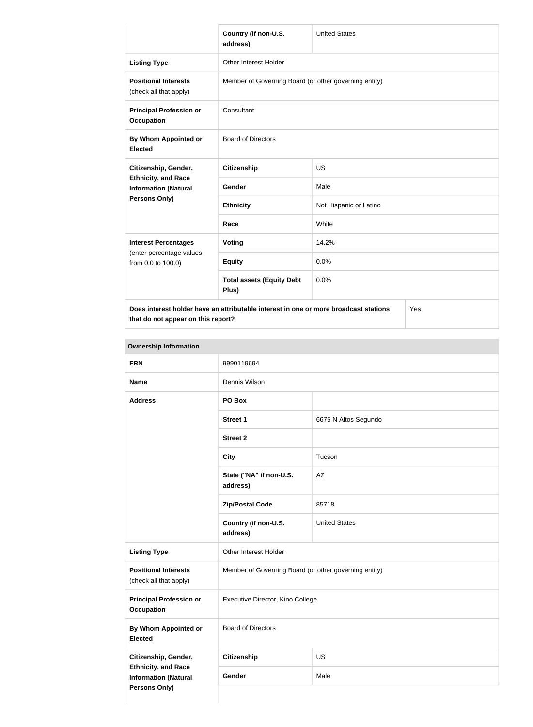|                                                           | Country (if non-U.S.<br>address)                                                     | <b>United States</b>   |  |
|-----------------------------------------------------------|--------------------------------------------------------------------------------------|------------------------|--|
| <b>Listing Type</b>                                       | <b>Other Interest Holder</b>                                                         |                        |  |
| <b>Positional Interests</b><br>(check all that apply)     | Member of Governing Board (or other governing entity)                                |                        |  |
| <b>Principal Profession or</b><br><b>Occupation</b>       | Consultant                                                                           |                        |  |
| By Whom Appointed or<br><b>Elected</b>                    | <b>Board of Directors</b>                                                            |                        |  |
| Citizenship, Gender,                                      | <b>Citizenship</b>                                                                   | <b>US</b>              |  |
| <b>Ethnicity, and Race</b><br><b>Information (Natural</b> | Gender                                                                               | Male                   |  |
| Persons Only)                                             | <b>Ethnicity</b>                                                                     | Not Hispanic or Latino |  |
|                                                           | Race                                                                                 | White                  |  |
| <b>Interest Percentages</b>                               | <b>Voting</b>                                                                        | 14.2%                  |  |
| (enter percentage values<br>from 0.0 to 100.0)            | <b>Equity</b>                                                                        | 0.0%                   |  |
|                                                           | <b>Total assets (Equity Debt</b><br>Plus)                                            | 0.0%                   |  |
|                                                           | Does interest holder have an attributable interest in one or more broadcast stations | Yes                    |  |

**that do not appear on this report?**

Yes

| <b>FRN</b>                                                                        | 9990119694                                            |                      |  |
|-----------------------------------------------------------------------------------|-------------------------------------------------------|----------------------|--|
| <b>Name</b>                                                                       | Dennis Wilson                                         |                      |  |
| <b>Address</b>                                                                    | PO Box                                                |                      |  |
|                                                                                   | <b>Street 1</b>                                       | 6675 N Altos Segundo |  |
|                                                                                   | <b>Street 2</b>                                       |                      |  |
|                                                                                   | <b>City</b>                                           | Tucson               |  |
|                                                                                   | State ("NA" if non-U.S.<br>address)                   | AZ                   |  |
|                                                                                   | <b>Zip/Postal Code</b>                                | 85718                |  |
|                                                                                   | Country (if non-U.S.<br>address)                      | <b>United States</b> |  |
| <b>Listing Type</b>                                                               | Other Interest Holder                                 |                      |  |
| <b>Positional Interests</b><br>(check all that apply)                             | Member of Governing Board (or other governing entity) |                      |  |
| <b>Principal Profession or</b><br><b>Occupation</b>                               | Executive Director, Kino College                      |                      |  |
| By Whom Appointed or<br><b>Elected</b>                                            | <b>Board of Directors</b>                             |                      |  |
| Citizenship, Gender,                                                              | Citizenship                                           | US                   |  |
| <b>Ethnicity, and Race</b><br><b>Information (Natural</b><br><b>Persons Only)</b> | Gender                                                | Male                 |  |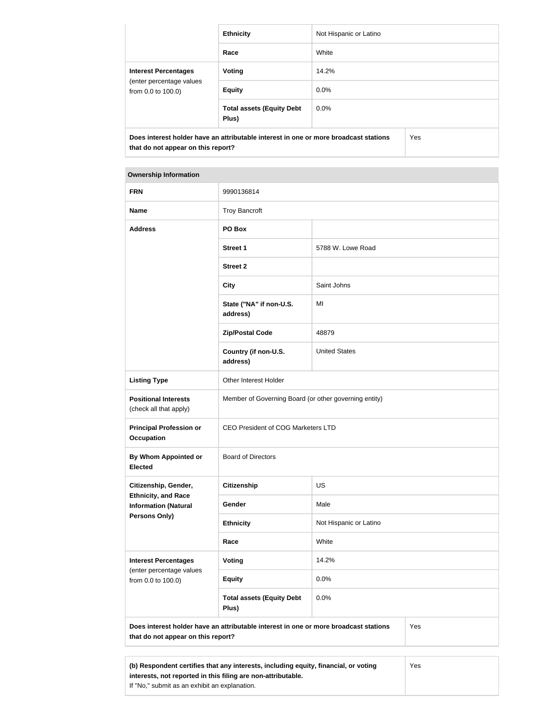|                                                                               | <b>Ethnicity</b>                                                                     | Not Hispanic or Latino |     |
|-------------------------------------------------------------------------------|--------------------------------------------------------------------------------------|------------------------|-----|
|                                                                               | Race                                                                                 | White                  |     |
| <b>Interest Percentages</b><br>(enter percentage values<br>from 0.0 to 100.0) | Voting                                                                               | 14.2%                  |     |
|                                                                               | <b>Equity</b>                                                                        | $0.0\%$                |     |
|                                                                               | <b>Total assets (Equity Debt</b><br>Plus)                                            | $0.0\%$                |     |
| that do not appear on this report?                                            | Does interest holder have an attributable interest in one or more broadcast stations |                        | Yes |

#### **Ownership Information**

| <b>FRN</b>                                                | 9990136814                                                                           |                        |     |
|-----------------------------------------------------------|--------------------------------------------------------------------------------------|------------------------|-----|
| <b>Name</b>                                               | <b>Troy Bancroft</b>                                                                 |                        |     |
| <b>Address</b>                                            | PO Box                                                                               |                        |     |
|                                                           | <b>Street 1</b>                                                                      | 5788 W. Lowe Road      |     |
|                                                           | <b>Street 2</b>                                                                      |                        |     |
|                                                           | <b>City</b>                                                                          | Saint Johns            |     |
|                                                           | State ("NA" if non-U.S.<br>address)                                                  | MI                     |     |
|                                                           | <b>Zip/Postal Code</b>                                                               | 48879                  |     |
|                                                           | Country (if non-U.S.<br>address)                                                     | <b>United States</b>   |     |
| <b>Listing Type</b>                                       | Other Interest Holder                                                                |                        |     |
| <b>Positional Interests</b><br>(check all that apply)     | Member of Governing Board (or other governing entity)                                |                        |     |
| <b>Principal Profession or</b><br><b>Occupation</b>       | <b>CEO President of COG Marketers LTD</b>                                            |                        |     |
| By Whom Appointed or<br><b>Elected</b>                    | <b>Board of Directors</b>                                                            |                        |     |
| Citizenship, Gender,                                      | <b>Citizenship</b>                                                                   | US                     |     |
| <b>Ethnicity, and Race</b><br><b>Information (Natural</b> | Gender                                                                               | Male                   |     |
| Persons Only)                                             | <b>Ethnicity</b>                                                                     | Not Hispanic or Latino |     |
|                                                           | Race                                                                                 | White                  |     |
| <b>Interest Percentages</b>                               | <b>Voting</b>                                                                        | 14.2%                  |     |
| (enter percentage values<br>from 0.0 to 100.0)            | <b>Equity</b>                                                                        | 0.0%                   |     |
|                                                           | <b>Total assets (Equity Debt</b><br>Plus)                                            | 0.0%                   |     |
| that do not appear on this report?                        | Does interest holder have an attributable interest in one or more broadcast stations |                        | Yes |
|                                                           |                                                                                      |                        |     |
|                                                           | (b) Respondent certifies that any interests, including equity, financial, or voting  |                        | Yes |

**interests, not reported in this filing are non-attributable.**

If "No," submit as an exhibit an explanation.